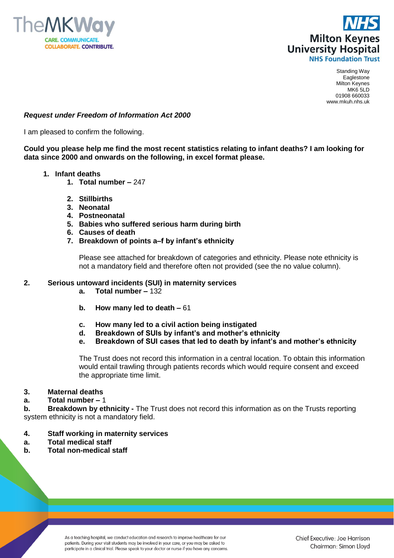



## *Request under Freedom of Information Act 2000*

I am pleased to confirm the following.

**Could you please help me find the most recent statistics relating to infant deaths? I am looking for data since 2000 and onwards on the following, in excel format please.** 

- **1. Infant deaths**
	- **1. Total number –** 247
	- **2. Stillbirths**
	- **3. Neonatal**
	- **4. Postneonatal**
	- **5. Babies who suffered serious harm during birth**
	- **6. Causes of death**
	- **7. Breakdown of points a–f by infant's ethnicity**

Please see attached for breakdown of categories and ethnicity. Please note ethnicity is not a mandatory field and therefore often not provided (see the no value column).

## **2. Serious untoward incidents (SUI) in maternity services**

- **a. Total number –** 132
- **b. How many led to death –** 61
- **c. How many led to a civil action being instigated**
- **d. Breakdown of SUIs by infant's and mother's ethnicity**
- **e. Breakdown of SUI cases that led to death by infant's and mother's ethnicity**

The Trust does not record this information in a central location. To obtain this information would entail trawling through patients records which would require consent and exceed the appropriate time limit.

## **3. Maternal deaths**

**a. Total number –** 1

**b. Breakdown by ethnicity -** The Trust does not record this information as on the Trusts reporting system ethnicity is not a mandatory field.

- **4. Staff working in maternity services**
- **a. Total medical staff**
- **b. Total non-medical staff**

As a teaching hospital, we conduct education and research to improve healthcare for our patients. During your visit students may be involved in your care, or you may be asked to participate in a clinical trial. Please speak to your doctor or nurse if you have any concerns.